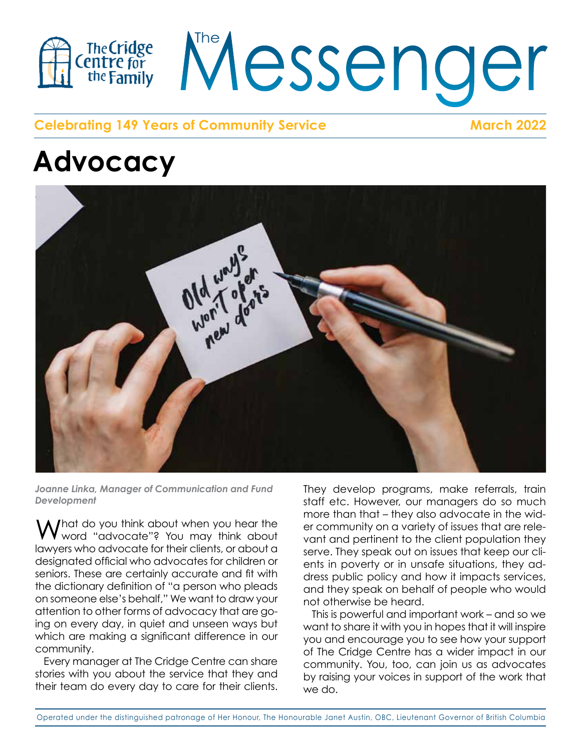

### **Celebrating 149 Years of Community Service March 2022**

## **Advocacy**



Joanne Linka, Manager of Communication and Fund *Development* 

What do you think about when you hear the<br>Wword "advocate"? You may think about **VV** word "advocate"? You may think about vant and per lawyers who advocate for their clients, or about a serve They snow that is light. designated official who advocates for children or entity in pove assignated official who devocates for enfidient of the dictionary definition of "a person who pleads on someone else's behalf," We want to draw your attention to other forms of advocacy that are go-<br>This is nowe ing on every day, in quiet and unseen ways but want to share which are making a significant difference in our and and ence community.  $\lambda$  / hat do you think about when you hear the  $\lambda$  or community  $\frac{1}{2}$  into view of  $\frac{1}{2}$  in a scarce and  $\frac{1}{2}$  in a scarce and  $\frac{1}{2}$  in a scarce and  $\frac{1}{2}$  in a scarce and  $\frac{1}{2}$  in a scarce and  $\frac{1}{2}$  in a scarce  $\frac{1}{2}$  in a scarce  $\frac{1}{2}$  in a scarce of

Every manager at The Cridge Centre can share the Chage stories with you about the service that they and states with you doed the service that they are

They develop programs, make referrals, train staff etc. However, our managers do so much more than that – they also advocate in the widwho who who was young the business whose whole or commonly on a vallery or ssees man are rele-<br>vant and pertinent to the client population they serve. They speak out on issues that keep our cli- $\delta$  for children or  $\epsilon$  ents in poverty or in unsafe situations, they address public policy and how it impacts services, and they speak on behalf of people who would nt to draw your hot otherwise be heard. ight to the client population fire

This is powerful and important work – and so we want to share it with you in hopes that it will inspire you and encourage you to see how your support you and choolage you to see now your support<br>of The Cridge Centre has a wider impact in our community. You, too, can join us as advocates by raising your voices in support of the work that we do. July and November. entre has a wider impc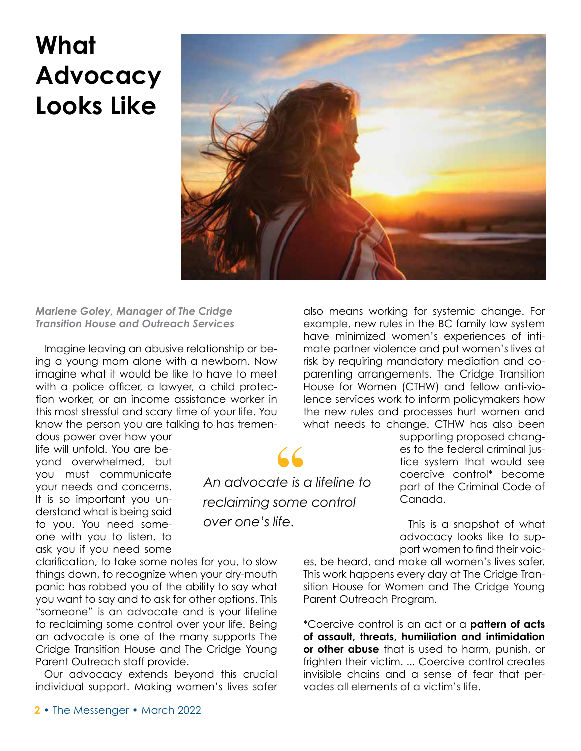## **What Advocacy Looks Like**



*An advocate is a lifeline to* 

**66**<br>te is de some

*reclaiming some control* 

*over one's life.*

#### *Marlene Goley, Manager of The Cridge Transition House and Outreach Services*

Imagine leaving an abusive relationship or being a young mom alone with a newborn. Now imagine what it would be like to have to meet with a police officer, a lawyer, a child protection worker, or an income assistance worker in this most stressful and scary time of your life. You know the person you are talking to has tremen-

dous power over how your life will unfold. You are beyond overwhelmed, but you must communicate your needs and concerns. It is so important you understand what is being said to you. You need someone with you to listen, to ask you if you need some

clarification, to take some notes for you, to slow things down, to recognize when your dry-mouth panic has robbed you of the ability to say what you want to say and to ask for other options. This "someone" is an advocate and is your lifeline to reclaiming some control over your life. Being an advocate is one of the many supports The Cridge Transition House and The Cridge Young Parent Outreach staff provide.

Our advocacy extends beyond this crucial individual support. Making women's lives safer also means working for systemic change. For example, new rules in the BC family law system have minimized women's experiences of intimate partner violence and put women's lives at risk by requiring mandatory mediation and coparenting arrangements. The Cridge Transition House for Women (CTHW) and fellow anti-violence services work to inform policymakers how the new rules and processes hurt women and what needs to change. CTHW has also been

> supporting proposed changes to the federal criminal justice system that would see coercive control\* become part of the Criminal Code of Canada.

> This is a snapshot of what advocacy looks like to support women to find their voic-

es, be heard, and make all women's lives safer. This work happens every day at The Cridge Transition House for Women and The Cridge Young Parent Outreach Program.

\*Coercive control is an act or a **pattern of acts of assault, threats, humiliation and intimidation or other abuse** that is used to harm, punish, or frighten their victim. ... Coercive control creates invisible chains and a sense of fear that pervades all elements of a victim's life.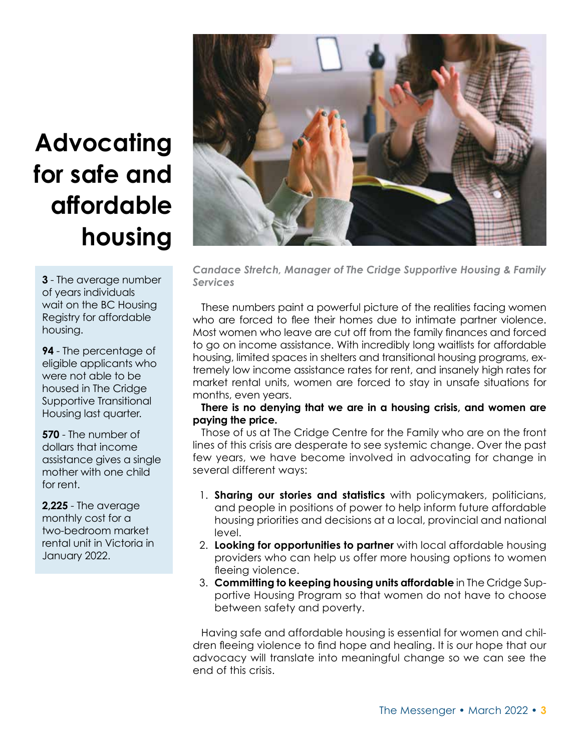# **Advocating for safe and affordable housing**

**3** - The average number of years individuals wait on the BC Housing Registry for affordable housing.

**94** - The percentage of eligible applicants who were not able to be housed in The Cridge Supportive Transitional Housing last quarter.

**570** - The number of dollars that income assistance gives a single mother with one child for rent.

**2,225** - The average monthly cost for a two-bedroom market rental unit in Victoria in January 2022.



*Candace Stretch, Manager of The Cridge Supportive Housing & Family Services* 

These numbers paint a powerful picture of the realities facing women who are forced to flee their homes due to intimate partner violence. Most women who leave are cut off from the family finances and forced to go on income assistance. With incredibly long waitlists for affordable housing, limited spaces in shelters and transitional housing programs, extremely low income assistance rates for rent, and insanely high rates for market rental units, women are forced to stay in unsafe situations for months, even years.

#### **There is no denying that we are in a housing crisis, and women are paying the price.**

Those of us at The Cridge Centre for the Family who are on the front lines of this crisis are desperate to see systemic change. Over the past few years, we have become involved in advocating for change in several different ways:

- 1. **Sharing our stories and statistics** with policymakers, politicians, and people in positions of power to help inform future affordable housing priorities and decisions at a local, provincial and national level.
- 2. **Looking for opportunities to partner** with local affordable housing providers who can help us offer more housing options to women fleeing violence.
- 3. **Committing to keeping housing units affordable** in The Cridge Supportive Housing Program so that women do not have to choose between safety and poverty.

Having safe and affordable housing is essential for women and children fleeing violence to find hope and healing. It is our hope that our advocacy will translate into meaningful change so we can see the end of this crisis.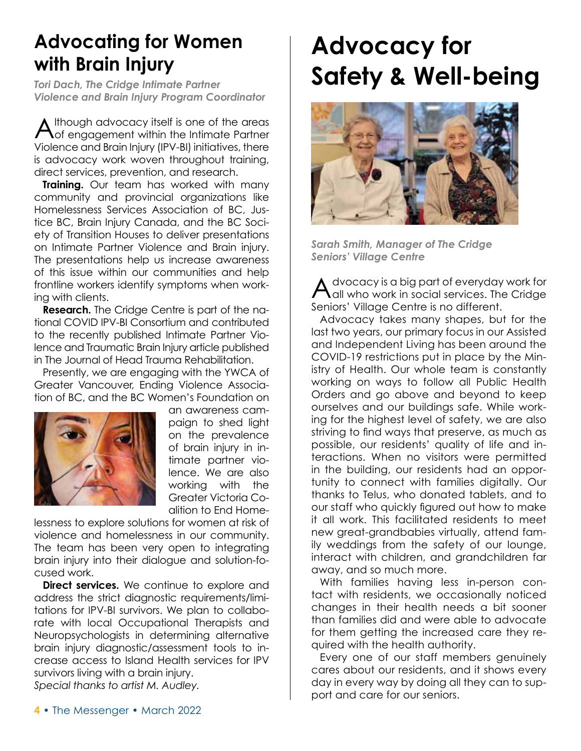### **Advocating for Women with Brain Injury**

*Violence and Brain Injury Program Coordinator* 

Although advocacy itself is one of the areas of engagement within the Intimate Partner Violence and Brain Injury (IPV-BI) initiatives, there is advocacy work woven throughout training, direct services, prevention, and research.

**Training.** Our team has worked with many community and provincial organizations like Homelessness Services Association of BC, Justice BC, Brain Injury Canada, and the BC Society of Transition Houses to deliver presentations on Intimate Partner Violence and Brain injury. The presentations help us increase awareness of this issue within our communities and help frontline workers identify symptoms when working with clients.

**Research.** The Cridge Centre is part of the national COVID IPV-BI Consortium and contributed to the recently published Intimate Partner Violence and Traumatic Brain Injury article published in The Journal of Head Trauma Rehabilitation.

Presently, we are engaging with the YWCA of Greater Vancouver, Ending Violence Association of BC, and the BC Women's Foundation on



an awareness campaign to shed light on the prevalence of brain injury in intimate partner violence. We are also working with the Greater Victoria Coalition to End Home-

lessness to explore solutions for women at risk of violence and homelessness in our community. The team has been very open to integrating brain injury into their dialogue and solution-focused work.

**Direct services.** We continue to explore and address the strict diagnostic requirements/limitations for IPV-BI survivors. We plan to collaborate with local Occupational Therapists and Neuropsychologists in determining alternative brain injury diagnostic/assessment tools to increase access to Island Health services for IPV survivors living with a brain injury. *Special thanks to artist M. Audley.*

## **Advocacy for**  *Tori Dach, The Cridge Intimate Partner* **Safety & Well-being**



*Sarah Smith, Manager of The Cridge Seniors' Village Centre*

Advocacy is a big part of everyday work for all who work in social services. The Cridge Seniors' Village Centre is no different.

Advocacy takes many shapes, but for the last two years, our primary focus in our Assisted and Independent Living has been around the COVID-19 restrictions put in place by the Ministry of Health. Our whole team is constantly working on ways to follow all Public Health Orders and go above and beyond to keep ourselves and our buildings safe. While working for the highest level of safety, we are also striving to find ways that preserve, as much as possible, our residents' quality of life and interactions. When no visitors were permitted in the building, our residents had an opportunity to connect with families digitally. Our thanks to Telus, who donated tablets, and to our staff who quickly figured out how to make it all work. This facilitated residents to meet new great-grandbabies virtually, attend family weddings from the safety of our lounge, interact with children, and grandchildren far away, and so much more.

With families having less in-person contact with residents, we occasionally noticed changes in their health needs a bit sooner than families did and were able to advocate for them getting the increased care they required with the health authority.

Every one of our staff members genuinely cares about our residents, and it shows every day in every way by doing all they can to support and care for our seniors.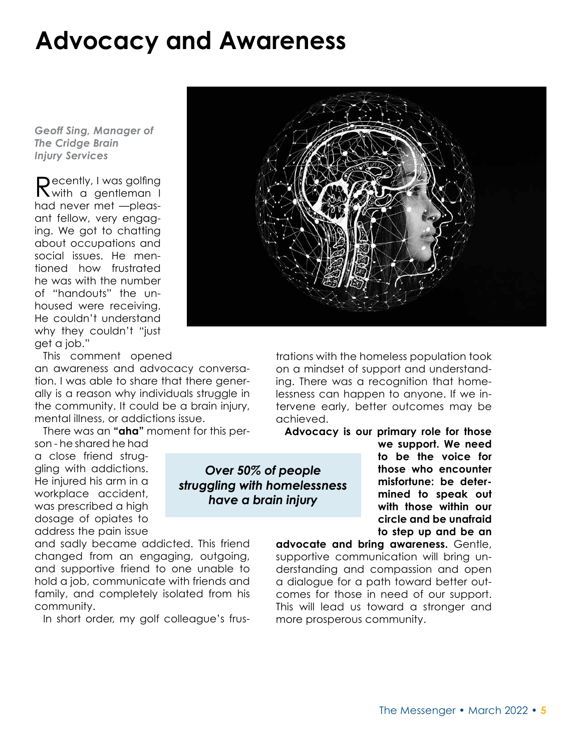### **Advocacy and Awareness**

*Geoff Sing, Manager of The Cridge Brain Injury Services*

Recently, I was golfing<br>
Nwith a gentleman I had never met —pleasant fellow, very engaging. We got to chatting about occupations and social issues. He mentioned how frustrated he was with the number of "handouts" the unhoused were receiving. He couldn't understand why they couldn't "just get a job."

This comment opened

an awareness and advocacy conversation. I was able to share that there generally is a reason why individuals struggle in the community. It could be a brain injury, mental illness, or addictions issue.

There was an **"aha"** moment for this per-

son - he shared he had a close friend struggling with addictions. He injured his arm in a workplace accident, was prescribed a high dosage of opiates to address the pain issue

and sadly became addicted. This friend changed from an engaging, outgoing, and supportive friend to one unable to hold a job, communicate with friends and family, and completely isolated from his community.

In short order, my golf colleague's frus-

*Over 50% of people struggling with homelessness* 

*have a brain injury*

trations with the homeless population took on a mindset of support and understanding. There was a recognition that homelessness can happen to anyone. If we intervene early, better outcomes may be achieved.

**Advocacy is our primary role for those** 

**we support. We need to be the voice for those who encounter misfortune: be determined to speak out with those within our circle and be unafraid to step up and be an** 

**advocate and bring awareness.** Gentle, supportive communication will bring understanding and compassion and open a dialogue for a path toward better outcomes for those in need of our support. This will lead us toward a stronger and more prosperous community.

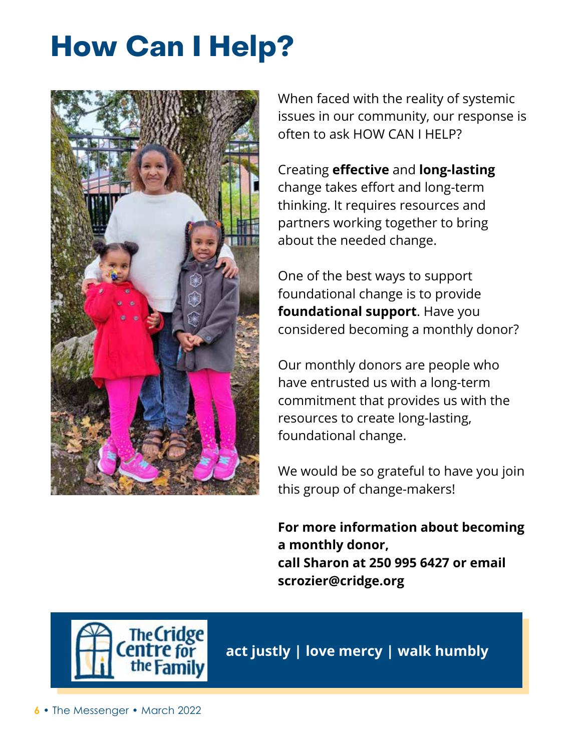# **How Can I Help?**



When faced with the reality of systemic issues in our community, our response is often to ask HOW CAN I HELP?

Creating **effective** and **long-lasting** change takes effort and long-term thinking. It requires resources and partners working together to bring about the needed change.

One of the best ways to support foundational change is to provide **foundational support**. Have you considered becoming a monthly donor?

Our monthly donors are people who have entrusted us with a long-term commitment that provides us with the resources to create long-lasting, foundational change.

We would be so grateful to have you join this group of change-makers!

**For more information about becoming a monthly donor, call Sharon at 250 995 6427 or email scrozier@cridge.org**



**act justly | love mercy | walk humbly**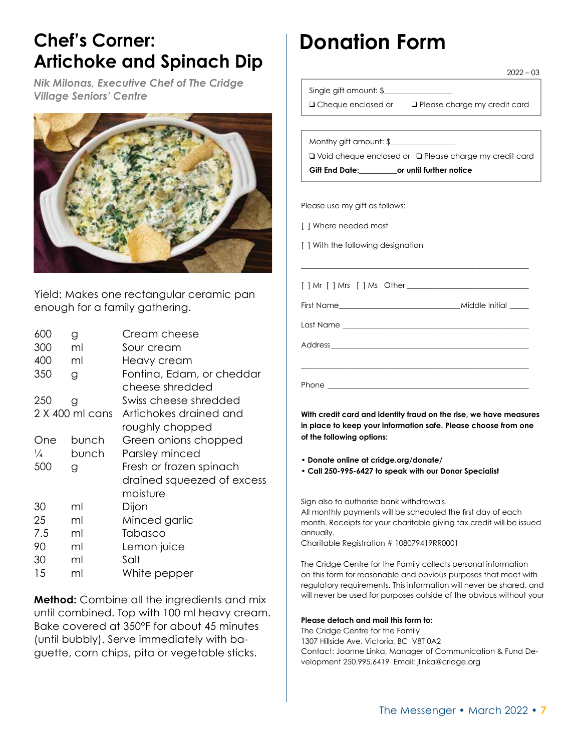### **Chef's Corner: Artichoke and Spinach Dip**

*Nik Milonas, Executive Chef of The Cridge Village Seniors' Centre*



Yield: Makes one rectangular ceramic pan enough for a family gathering.

| 600           | g               | Cream cheese               |
|---------------|-----------------|----------------------------|
| 300           | ml              | Sour cream                 |
| 400           | ml              | Heavy cream                |
| 350           | g               | Fontina, Edam, or cheddar  |
|               |                 | cheese shredded            |
| 250           | g               | Swiss cheese shredded      |
|               | 2 X 400 ml cans | Artichokes drained and     |
|               |                 | roughly chopped            |
| One           | bunch           | Green onions chopped       |
| $\frac{1}{4}$ | bunch           | Parsley minced             |
| 500           | g               | Fresh or frozen spinach    |
|               |                 | drained squeezed of excess |
|               |                 | moisture                   |
| 30            | ml              | Dijon                      |
| 25            | ml              | Minced garlic              |
| 7.5           | ml              | Tabasco                    |
| 90            | ml              | Lemon juice                |
| 30            | ml              | Salt                       |
| 15            | ml              | White pepper               |
|               |                 |                            |

**Method:** Combine all the ingredients and mix until combined. Top with 100 ml heavy cream. Bake covered at 350°F for about 45 minutes (until bubbly). Serve immediately with baguette, corn chips, pita or vegetable sticks.

### **Donation Form**

Single gift amount: \$

**Q** Cheque enclosed or  $q$  Please charge my credit card

 $2022 - 03$ 

Monthy gift amount: \$\_\_\_\_\_\_\_\_\_\_\_\_\_\_\_\_\_

□ Void cheque enclosed or □ Please charge my credit card notice

| Gift End Date:<br>or until further i |  |  |  |
|--------------------------------------|--|--|--|
|--------------------------------------|--|--|--|

Please use my gift as follows:

[ ] Where needed most

Phone \_\_\_\_\_\_\_\_\_\_\_\_\_\_\_\_\_\_\_\_\_\_\_\_\_\_\_\_\_\_\_\_\_\_\_\_\_\_\_\_\_\_\_\_\_\_\_\_\_\_\_\_\_

[ ] With the following designation

[ ] Mr [ ] Mrs [ ] Ms Other \_\_\_\_\_\_\_\_\_\_\_\_\_\_\_\_\_\_\_\_\_\_\_\_\_\_\_\_\_\_\_\_ First Name\_\_\_\_\_\_\_\_\_\_\_\_\_\_\_\_\_\_\_\_\_\_\_\_\_\_\_\_\_\_\_\_Middle Initial \_\_\_\_\_ Last Name \_\_\_\_\_\_\_\_\_\_\_\_\_\_\_\_\_\_\_\_\_\_\_\_\_\_\_\_\_\_\_\_\_\_\_\_\_\_\_\_\_\_\_\_\_\_\_\_\_ Address \_\_\_\_\_\_\_\_\_\_\_\_\_\_\_\_\_\_\_\_\_\_\_\_\_\_\_\_\_\_\_\_\_\_\_\_\_\_\_\_\_\_\_\_\_\_\_\_\_\_\_\_ \_\_\_\_\_\_\_\_\_\_\_\_\_\_\_\_\_\_\_\_\_\_\_\_\_\_\_\_\_\_\_\_\_\_\_\_\_\_\_\_\_\_\_\_\_\_\_\_\_\_\_\_\_\_\_\_\_\_\_\_

\_\_\_\_\_\_\_\_\_\_\_\_\_\_\_\_\_\_\_\_\_\_\_\_\_\_\_\_\_\_\_\_\_\_\_\_\_\_\_\_\_\_\_\_\_\_\_\_\_\_\_\_\_\_\_\_\_\_\_\_

**With credit card and identity fraud on the rise, we have measures in place to keep your information safe. Please choose from one of the following options:**

**• Donate online at cridge.org/donate/** 

**• Call 250-995-6427 to speak with our Donor Specialist**

Sign also to authorise bank withdrawals. All monthly payments will be scheduled the first day of each month. Receipts for your charitable giving tax credit will be issued annually.

Charitable Registration # 108079419RR0001

The Cridge Centre for the Family collects personal information on this form for reasonable and obvious purposes that meet with regulatory requirements. This information will never be shared, and will never be used for purposes outside of the obvious without your

#### **Please detach and mail this form to:**

The Cridge Centre for the Family 1307 Hillside Ave. Victoria, BC V8T 0A2 Contact: Joanne Linka, Manager of Communication & Fund Development 250.995.6419 Email: jlinka@cridge.org